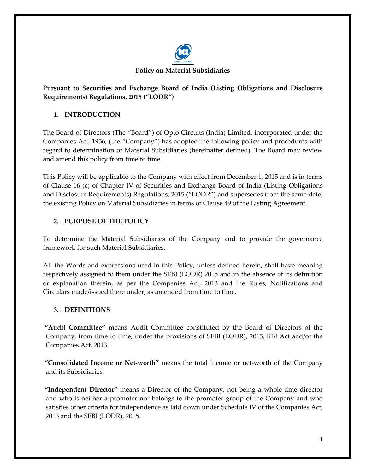

# **Pursuant to Securities and Exchange Board of India (Listing Obligations and Disclosure Requirements) Regulations, 2015 ("LODR")**

# **1. INTRODUCTION**

The Board of Directors (The "Board") of Opto Circuits (India) Limited, incorporated under the Companies Act, 1956, (the "Company") has adopted the following policy and procedures with regard to determination of Material Subsidiaries (hereinafter defined). The Board may review and amend this policy from time to time.

This Policy will be applicable to the Company with effect from December 1, 2015 and is in terms of Clause 16 (c) of Chapter IV of Securities and Exchange Board of India (Listing Obligations and Disclosure Requirements) Regulations, 2015 ("LODR") and supersedes from the same date, the existing Policy on Material Subsidiaries in terms of Clause 49 of the Listing Agreement.

# **2. PURPOSE OF THE POLICY**

To determine the Material Subsidiaries of the Company and to provide the governance framework for such Material Subsidiaries.

All the Words and expressions used in this Policy, unless defined herein, shall have meaning respectively assigned to them under the SEBI (LODR) 2015 and in the absence of its definition or explanation therein, as per the Companies Act, 2013 and the Rules, Notifications and Circulars made/issued there under, as amended from time to time.

## **3. DEFINITIONS**

**"Audit Committee"** means Audit Committee constituted by the Board of Directors of the Company, from time to time, under the provisions of SEBI (LODR), 2015, RBI Act and/or the Companies Act, 2013.

**"Consolidated Income or Net-worth"** means the total income or net-worth of the Company and its Subsidiaries.

**"Independent Director"** means a Director of the Company, not being a whole-time director and who is neither a promoter nor belongs to the promoter group of the Company and who satisfies other criteria for independence as laid down under Schedule IV of the Companies Act, 2013 and the SEBI (LODR), 2015.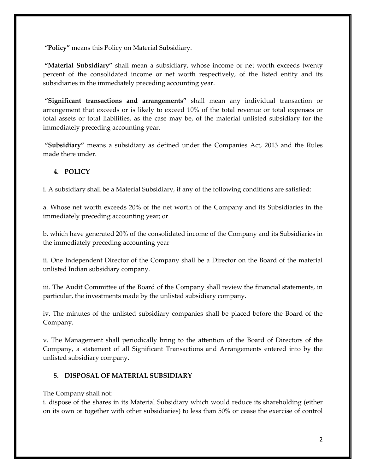**"Policy"** means this Policy on Material Subsidiary.

**"Material Subsidiary"** shall mean a subsidiary, whose income or net worth exceeds twenty percent of the consolidated income or net worth respectively, of the listed entity and its subsidiaries in the immediately preceding accounting year.

**"Significant transactions and arrangements"** shall mean any individual transaction or arrangement that exceeds or is likely to exceed 10% of the total revenue or total expenses or total assets or total liabilities, as the case may be, of the material unlisted subsidiary for the immediately preceding accounting year.

**"Subsidiary"** means a subsidiary as defined under the Companies Act, 2013 and the Rules made there under.

### **4. POLICY**

i. A subsidiary shall be a Material Subsidiary, if any of the following conditions are satisfied:

a. Whose net worth exceeds 20% of the net worth of the Company and its Subsidiaries in the immediately preceding accounting year; or

b. which have generated 20% of the consolidated income of the Company and its Subsidiaries in the immediately preceding accounting year

ii. One Independent Director of the Company shall be a Director on the Board of the material unlisted Indian subsidiary company.

iii. The Audit Committee of the Board of the Company shall review the financial statements, in particular, the investments made by the unlisted subsidiary company.

iv. The minutes of the unlisted subsidiary companies shall be placed before the Board of the Company.

v. The Management shall periodically bring to the attention of the Board of Directors of the Company, a statement of all Significant Transactions and Arrangements entered into by the unlisted subsidiary company.

## **5. DISPOSAL OF MATERIAL SUBSIDIARY**

### The Company shall not:

i. dispose of the shares in its Material Subsidiary which would reduce its shareholding (either on its own or together with other subsidiaries) to less than 50% or cease the exercise of control